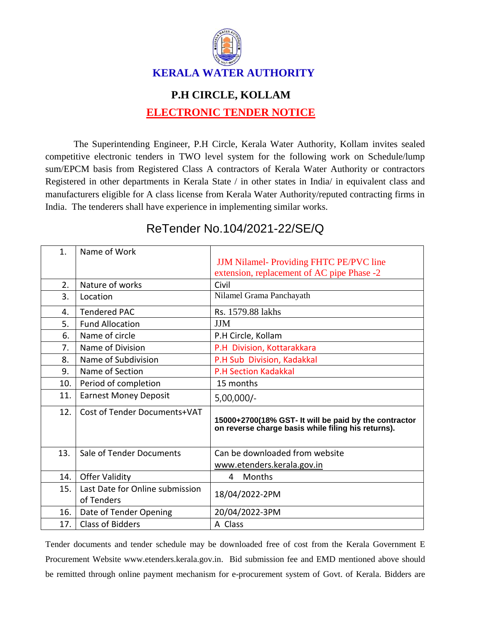

## **P.H CIRCLE, KOLLAM ELECTRONIC TENDER NOTICE**

The Superintending Engineer, P.H Circle, Kerala Water Authority, Kollam invites sealed competitive electronic tenders in TWO level system for the following work on Schedule/lump sum/EPCM basis from Registered Class A contractors of Kerala Water Authority or contractors Registered in other departments in Kerala State / in other states in India/ in equivalent class and manufacturers eligible for A class license from Kerala Water Authority/reputed contracting firms in India. The tenderers shall have experience in implementing similar works.

| 1.  | Name of Work                                  |                                                                                                             |
|-----|-----------------------------------------------|-------------------------------------------------------------------------------------------------------------|
|     |                                               | <b>JJM Nilamel-Providing FHTC PE/PVC line</b>                                                               |
|     |                                               | extension, replacement of AC pipe Phase -2                                                                  |
| 2.  | Nature of works                               | Civil                                                                                                       |
| 3.  | Location                                      | Nilamel Grama Panchayath                                                                                    |
| 4.  | <b>Tendered PAC</b>                           | Rs. 1579.88 lakhs                                                                                           |
| 5.  | <b>Fund Allocation</b>                        | <b>JJM</b>                                                                                                  |
| 6.  | Name of circle                                | P.H Circle, Kollam                                                                                          |
| 7.  | Name of Division                              | P.H Division, Kottarakkara                                                                                  |
| 8.  | Name of Subdivision                           | P.H Sub Division, Kadakkal                                                                                  |
| 9.  | Name of Section                               | <b>P.H Section Kadakkal</b>                                                                                 |
| 10. | Period of completion                          | 15 months                                                                                                   |
| 11. | <b>Earnest Money Deposit</b>                  | $5,00,000/-$                                                                                                |
| 12. | Cost of Tender Documents+VAT                  | 15000+2700(18% GST- It will be paid by the contractor<br>on reverse charge basis while filing his returns). |
| 13. | Sale of Tender Documents                      | Can be downloaded from website                                                                              |
|     |                                               | www.etenders.kerala.gov.in                                                                                  |
| 14. | <b>Offer Validity</b>                         | Months<br>4                                                                                                 |
| 15. | Last Date for Online submission<br>of Tenders | 18/04/2022-2PM                                                                                              |
| 16. | Date of Tender Opening                        | 20/04/2022-3PM                                                                                              |
| 17. | <b>Class of Bidders</b>                       | A Class                                                                                                     |

## ReTender No.104/2021-22/SE/Q

Tender documents and tender schedule may be downloaded free of cost from the Kerala Government E Procurement Website www.etenders.kerala.gov.in. Bid submission fee and EMD mentioned above should be remitted through online payment mechanism for e-procurement system of Govt. of Kerala. Bidders are